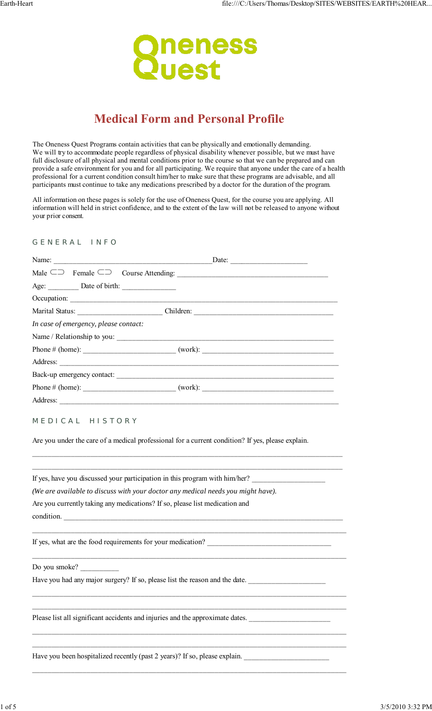

# **Medical Form and Personal Profile**

The Oneness Quest Programs contain activities that can be physically and emotionally demanding. We will try to accommodate people regardless of physical disability whenever possible, but we must have full disclosure of all physical and mental conditions prior to the course so that we can be prepared and can provide a safe environment for you and for all participating. We require that anyone under the care of a health professional for a current condition consult him/her to make sure that these programs are advisable, and all participants must continue to take any medications prescribed by a doctor for the duration of the program.

All information on these pages is solely for the use of Oneness Quest, for the course you are applying. All information will held in strict confidence, and to the extent of the law will not be released to anyone without your prior consent.

### G E N E R A L I N F O

| Name:                                 | Date: |
|---------------------------------------|-------|
|                                       |       |
|                                       |       |
|                                       |       |
|                                       |       |
| In case of emergency, please contact: |       |
|                                       |       |
|                                       |       |
|                                       |       |
|                                       |       |
| Phone # (home): $\qquad (work):$      |       |
|                                       |       |

## MEDICAL HISTORY

Are you under the care of a medical professional for a current condition? If yes, please explain.

\_\_\_\_\_\_\_\_\_\_\_\_\_\_\_\_\_\_\_\_\_\_\_\_\_\_\_\_\_\_\_\_\_\_\_\_\_\_\_\_\_\_\_\_\_\_\_\_\_\_\_\_\_\_\_\_\_\_\_\_\_\_\_\_\_\_\_\_\_\_\_\_\_\_\_\_\_\_\_\_ \_\_\_\_\_\_\_\_\_\_\_\_\_\_\_\_\_\_\_\_\_\_\_\_\_\_\_\_\_\_\_\_\_\_\_\_\_\_\_\_\_\_\_\_\_\_\_\_\_\_\_\_\_\_\_\_\_\_\_\_\_\_\_\_\_\_\_\_\_\_\_\_\_\_\_\_\_\_\_\_

\_\_\_\_\_\_\_\_\_\_\_\_\_\_\_\_\_\_\_\_\_\_\_\_\_\_\_\_\_\_\_\_\_\_\_\_\_\_\_\_\_\_\_\_\_\_\_\_\_\_\_\_\_\_\_\_\_\_\_\_\_\_\_\_\_\_\_\_\_\_\_\_\_\_\_\_\_\_\_\_\_

\_\_\_\_\_\_\_\_\_\_\_\_\_\_\_\_\_\_\_\_\_\_\_\_\_\_\_\_\_\_\_\_\_\_\_\_\_\_\_\_\_\_\_\_\_\_\_\_\_\_\_\_\_\_\_\_\_\_\_\_\_\_\_\_\_\_\_\_\_\_\_\_\_\_\_\_\_\_\_\_\_

\_\_\_\_\_\_\_\_\_\_\_\_\_\_\_\_\_\_\_\_\_\_\_\_\_\_\_\_\_\_\_\_\_\_\_\_\_\_\_\_\_\_\_\_\_\_\_\_\_\_\_\_\_\_\_\_\_\_\_\_\_\_\_\_\_\_\_\_\_\_\_\_\_\_\_\_\_\_\_\_\_ \_\_\_\_\_\_\_\_\_\_\_\_\_\_\_\_\_\_\_\_\_\_\_\_\_\_\_\_\_\_\_\_\_\_\_\_\_\_\_\_\_\_\_\_\_\_\_\_\_\_\_\_\_\_\_\_\_\_\_\_\_\_\_\_\_\_\_\_\_\_\_\_\_\_\_\_\_\_\_\_\_

\_\_\_\_\_\_\_\_\_\_\_\_\_\_\_\_\_\_\_\_\_\_\_\_\_\_\_\_\_\_\_\_\_\_\_\_\_\_\_\_\_\_\_\_\_\_\_\_\_\_\_\_\_\_\_\_\_\_\_\_\_\_\_\_\_\_\_\_\_\_\_\_\_\_\_\_\_\_\_\_\_ \_\_\_\_\_\_\_\_\_\_\_\_\_\_\_\_\_\_\_\_\_\_\_\_\_\_\_\_\_\_\_\_\_\_\_\_\_\_\_\_\_\_\_\_\_\_\_\_\_\_\_\_\_\_\_\_\_\_\_\_\_\_\_\_\_\_\_\_\_\_\_\_\_\_\_\_\_\_\_\_\_

\_\_\_\_\_\_\_\_\_\_\_\_\_\_\_\_\_\_\_\_\_\_\_\_\_\_\_\_\_\_\_\_\_\_\_\_\_\_\_\_\_\_\_\_\_\_\_\_\_\_\_\_\_\_\_\_\_\_\_\_\_\_\_\_\_\_\_\_\_\_\_\_\_\_\_\_\_\_\_\_\_

If yes, have you discussed your participation in this program with him/her?

*(We are available to discuss with your doctor any medical needs you might have).*

Are you currently taking any medications? If so, please list medication and

condition.

If yes, what are the food requirements for your medication?

Do you smoke?

Have you had any major surgery? If so, please list the reason and the date. \_\_\_\_\_\_\_\_\_\_\_\_\_\_\_\_\_\_\_\_\_\_\_\_\_\_\_\_\_\_\_\_\_\_

Please list all significant accidents and injuries and the approximate dates.

Have you been hospitalized recently (past 2 years)? If so, please explain.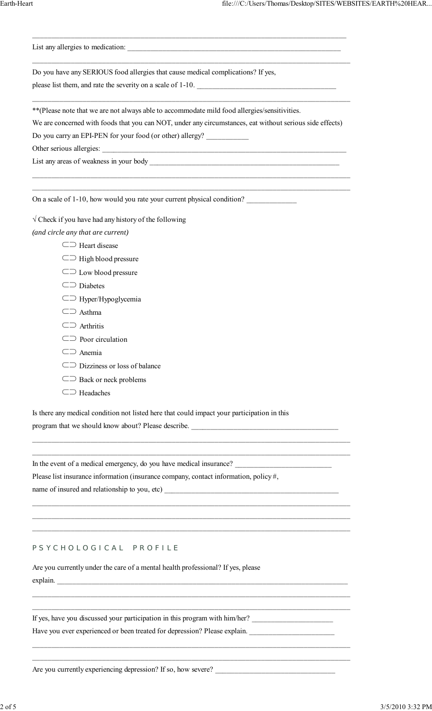| Do you have any SERIOUS food allergies that cause medical complications? If yes,<br>please list them, and rate the severity on a scale of 1-10.                                                                                                                        |
|------------------------------------------------------------------------------------------------------------------------------------------------------------------------------------------------------------------------------------------------------------------------|
| ** (Please note that we are not always able to accommodate mild food allergies/sensitivities.<br>We are concerned with foods that you can NOT, under any circumstances, eat without serious side effects)<br>Do you carry an EPI-PEN for your food (or other) allergy? |
| On a scale of 1-10, how would you rate your current physical condition?<br>$\sqrt{\text{Check}}$ if you have had any history of the following                                                                                                                          |

\_\_\_\_\_\_\_\_\_\_\_\_\_\_\_\_\_\_\_\_\_\_\_\_\_\_\_\_\_\_\_\_\_\_\_\_\_\_\_\_\_\_\_\_\_\_\_\_\_\_\_\_\_\_\_\_\_\_\_\_\_\_\_\_\_\_\_\_\_\_\_\_\_\_\_\_\_\_\_\_\_

*(and circle any that are current)*

| $\subseteq \supset$ Heart disease        |
|------------------------------------------|
| $\subseteq$ High blood pressure          |
| $\subseteq$ $\supset$ Low blood pressure |

- ⊂⊃ Diabetes
- ⊂⊃ Hyper/Hypoglycemia
- ⊂⊃ Asthma
- ⊂⊃ Arthritis
- ⊂⊃ Poor circulation
- ⊂⊃ Anemia
- ⊂⊃ Dizziness or loss of balance
- ⊂⊃ Back or neck problems
- ⊂⊃ Headaches

Is there any medical condition not listed here that could impact your participation in this

\_\_\_\_\_\_\_\_\_\_\_\_\_\_\_\_\_\_\_\_\_\_\_\_\_\_\_\_\_\_\_\_\_\_\_\_\_\_\_\_\_\_\_\_\_\_\_\_\_\_\_\_\_\_\_\_\_\_\_\_\_\_\_\_\_\_\_\_\_\_\_\_\_\_\_\_\_\_\_\_\_\_ \_\_\_\_\_\_\_\_\_\_\_\_\_\_\_\_\_\_\_\_\_\_\_\_\_\_\_\_\_\_\_\_\_\_\_\_\_\_\_\_\_\_\_\_\_\_\_\_\_\_\_\_\_\_\_\_\_\_\_\_\_\_\_\_\_\_\_\_\_\_\_\_\_\_\_\_\_\_\_\_\_\_

\_\_\_\_\_\_\_\_\_\_\_\_\_\_\_\_\_\_\_\_\_\_\_\_\_\_\_\_\_\_\_\_\_\_\_\_\_\_\_\_\_\_\_\_\_\_\_\_\_\_\_\_\_\_\_\_\_\_\_\_\_\_\_\_\_\_\_\_\_\_\_\_\_\_\_\_\_\_\_\_\_\_ \_\_\_\_\_\_\_\_\_\_\_\_\_\_\_\_\_\_\_\_\_\_\_\_\_\_\_\_\_\_\_\_\_\_\_\_\_\_\_\_\_\_\_\_\_\_\_\_\_\_\_\_\_\_\_\_\_\_\_\_\_\_\_\_\_\_\_\_\_\_\_\_\_\_\_\_\_\_\_\_\_\_ \_\_\_\_\_\_\_\_\_\_\_\_\_\_\_\_\_\_\_\_\_\_\_\_\_\_\_\_\_\_\_\_\_\_\_\_\_\_\_\_\_\_\_\_\_\_\_\_\_\_\_\_\_\_\_\_\_\_\_\_\_\_\_\_\_\_\_\_\_\_\_\_\_\_\_\_\_\_\_\_\_\_

\_\_\_\_\_\_\_\_\_\_\_\_\_\_\_\_\_\_\_\_\_\_\_\_\_\_\_\_\_\_\_\_\_\_\_\_\_\_\_\_\_\_\_\_\_\_\_\_\_\_\_\_\_\_\_\_\_\_\_\_\_\_\_\_\_\_\_\_\_\_\_\_\_\_\_\_\_\_\_\_\_\_ \_\_\_\_\_\_\_\_\_\_\_\_\_\_\_\_\_\_\_\_\_\_\_\_\_\_\_\_\_\_\_\_\_\_\_\_\_\_\_\_\_\_\_\_\_\_\_\_\_\_\_\_\_\_\_\_\_\_\_\_\_\_\_\_\_\_\_\_\_\_\_\_\_\_\_\_\_\_\_\_\_\_

\_\_\_\_\_\_\_\_\_\_\_\_\_\_\_\_\_\_\_\_\_\_\_\_\_\_\_\_\_\_\_\_\_\_\_\_\_\_\_\_\_\_\_\_\_\_\_\_\_\_\_\_\_\_\_\_\_\_\_\_\_\_\_\_\_\_\_\_\_\_\_\_\_\_\_\_\_\_\_\_\_\_ \_\_\_\_\_\_\_\_\_\_\_\_\_\_\_\_\_\_\_\_\_\_\_\_\_\_\_\_\_\_\_\_\_\_\_\_\_\_\_\_\_\_\_\_\_\_\_\_\_\_\_\_\_\_\_\_\_\_\_\_\_\_\_\_\_\_\_\_\_\_\_\_\_\_\_\_\_\_\_\_\_\_

program that we should know about? Please describe. \_\_\_\_\_\_\_\_\_\_\_\_\_\_\_\_\_\_\_\_\_\_\_\_\_\_\_\_\_

In the event of a medical emergency, do you have medical insurance?

Please list insurance information (insurance company, contact information, policy #,

name of insured and relationship to you, etc)

# P S Y C H O L O G I C A L P R O F I L E

Are you currently under the care of a mental health professional? If yes, please explain.

If yes, have you discussed your participation in this program with him/her? \_\_\_\_\_\_\_\_\_\_\_\_\_\_\_\_\_\_\_\_\_\_\_\_\_\_\_\_\_\_\_\_\_\_

Have you ever experienced or been treated for depression? Please explain. \_\_\_\_\_\_\_\_\_\_\_\_\_\_\_\_\_\_\_\_\_\_

Are you currently experiencing depression? If so, how severe? \_\_\_\_\_\_\_\_\_\_\_\_\_\_\_\_\_\_\_\_\_\_\_\_\_\_\_\_\_\_\_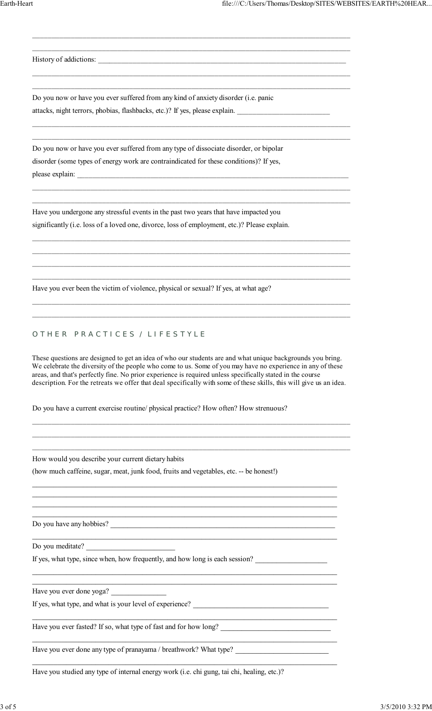History of addictions:

Do you now or have you ever suffered from any kind of anxiety disorder (i.e. panic attacks, night terrors, phobias, flashbacks, etc.)? If yes, please explain.

\_\_\_\_\_\_\_\_\_\_\_\_\_\_\_\_\_\_\_\_\_\_\_\_\_\_\_\_\_\_\_\_\_\_\_\_\_\_\_\_\_\_\_\_\_\_\_\_\_\_\_\_\_\_\_\_\_\_\_\_\_\_\_\_\_\_\_\_\_\_\_\_\_\_\_\_\_\_\_\_\_\_ \_\_\_\_\_\_\_\_\_\_\_\_\_\_\_\_\_\_\_\_\_\_\_\_\_\_\_\_\_\_\_\_\_\_\_\_\_\_\_\_\_\_\_\_\_\_\_\_\_\_\_\_\_\_\_\_\_\_\_\_\_\_\_\_\_\_\_\_\_\_\_\_\_\_\_\_\_\_\_\_\_\_

\_\_\_\_\_\_\_\_\_\_\_\_\_\_\_\_\_\_\_\_\_\_\_\_\_\_\_\_\_\_\_\_\_\_\_\_\_\_\_\_\_\_\_\_\_\_\_\_\_\_\_\_\_\_\_\_\_\_\_\_\_\_\_\_\_\_\_\_\_\_\_\_\_\_\_\_\_\_\_\_\_\_ \_\_\_\_\_\_\_\_\_\_\_\_\_\_\_\_\_\_\_\_\_\_\_\_\_\_\_\_\_\_\_\_\_\_\_\_\_\_\_\_\_\_\_\_\_\_\_\_\_\_\_\_\_\_\_\_\_\_\_\_\_\_\_\_\_\_\_\_\_\_\_\_\_\_\_\_\_\_\_\_\_\_

\_\_\_\_\_\_\_\_\_\_\_\_\_\_\_\_\_\_\_\_\_\_\_\_\_\_\_\_\_\_\_\_\_\_\_\_\_\_\_\_\_\_\_\_\_\_\_\_\_\_\_\_\_\_\_\_\_\_\_\_\_\_\_\_\_\_\_\_\_\_\_\_\_\_\_\_\_\_\_\_\_\_ \_\_\_\_\_\_\_\_\_\_\_\_\_\_\_\_\_\_\_\_\_\_\_\_\_\_\_\_\_\_\_\_\_\_\_\_\_\_\_\_\_\_\_\_\_\_\_\_\_\_\_\_\_\_\_\_\_\_\_\_\_\_\_\_\_\_\_\_\_\_\_\_\_\_\_\_\_\_\_\_\_\_

\_\_\_\_\_\_\_\_\_\_\_\_\_\_\_\_\_\_\_\_\_\_\_\_\_\_\_\_\_\_\_\_\_\_\_\_\_\_\_\_\_\_\_\_\_\_\_\_\_\_\_\_\_\_\_\_\_\_\_\_\_\_\_\_\_\_\_\_\_\_\_\_\_\_\_\_\_\_\_\_\_\_ \_\_\_\_\_\_\_\_\_\_\_\_\_\_\_\_\_\_\_\_\_\_\_\_\_\_\_\_\_\_\_\_\_\_\_\_\_\_\_\_\_\_\_\_\_\_\_\_\_\_\_\_\_\_\_\_\_\_\_\_\_\_\_\_\_\_\_\_\_\_\_\_\_\_\_\_\_\_\_\_\_\_

\_\_\_\_\_\_\_\_\_\_\_\_\_\_\_\_\_\_\_\_\_\_\_\_\_\_\_\_\_\_\_\_\_\_\_\_\_\_\_\_\_\_\_\_\_\_\_\_\_\_\_\_\_\_\_\_\_\_\_\_\_\_\_\_\_\_\_\_\_\_\_\_\_\_\_\_\_\_\_\_\_\_ \_\_\_\_\_\_\_\_\_\_\_\_\_\_\_\_\_\_\_\_\_\_\_\_\_\_\_\_\_\_\_\_\_\_\_\_\_\_\_\_\_\_\_\_\_\_\_\_\_\_\_\_\_\_\_\_\_\_\_\_\_\_\_\_\_\_\_\_\_\_\_\_\_\_\_\_\_\_\_\_\_\_ \_\_\_\_\_\_\_\_\_\_\_\_\_\_\_\_\_\_\_\_\_\_\_\_\_\_\_\_\_\_\_\_\_\_\_\_\_\_\_\_\_\_\_\_\_\_\_\_\_\_\_\_\_\_\_\_\_\_\_\_\_\_\_\_\_\_\_\_\_\_\_\_\_\_\_\_\_\_\_\_\_\_ \_\_\_\_\_\_\_\_\_\_\_\_\_\_\_\_\_\_\_\_\_\_\_\_\_\_\_\_\_\_\_\_\_\_\_\_\_\_\_\_\_\_\_\_\_\_\_\_\_\_\_\_\_\_\_\_\_\_\_\_\_\_\_\_\_\_\_\_\_\_\_\_\_\_\_\_\_\_\_\_\_\_

\_\_\_\_\_\_\_\_\_\_\_\_\_\_\_\_\_\_\_\_\_\_\_\_\_\_\_\_\_\_\_\_\_\_\_\_\_\_\_\_\_\_\_\_\_\_\_\_\_\_\_\_\_\_\_\_\_\_\_\_\_\_\_\_\_\_\_\_\_\_\_\_\_\_\_\_\_\_\_\_\_\_ \_\_\_\_\_\_\_\_\_\_\_\_\_\_\_\_\_\_\_\_\_\_\_\_\_\_\_\_\_\_\_\_\_\_\_\_\_\_\_\_\_\_\_\_\_\_\_\_\_\_\_\_\_\_\_\_\_\_\_\_\_\_\_\_\_\_\_\_\_\_\_\_\_\_\_\_\_\_\_\_\_\_

Do you now or have you ever suffered from any type of dissociate disorder, or bipolar disorder (some types of energy work are contraindicated for these conditions)? If yes, please explain:

Have you undergone any stressful events in the past two years that have impacted you significantly (i.e. loss of a loved one, divorce, loss of employment, etc.)? Please explain.

Have you ever been the victim of violence, physical or sexual? If yes, at what age?

#### O THER PRACTICES / LIFESTYLE

These questions are designed to get an idea of who our students are and what unique backgrounds you bring. We celebrate the diversity of the people who come to us. Some of you may have no experience in any of these areas, and that's perfectly fine. No prior experience is required unless specifically stated in the course description. For the retreats we offer that deal specifically with some of these skills, this will give us an idea.

\_\_\_\_\_\_\_\_\_\_\_\_\_\_\_\_\_\_\_\_\_\_\_\_\_\_\_\_\_\_\_\_\_\_\_\_\_\_\_\_\_\_\_\_\_\_\_\_\_\_\_\_\_\_\_\_\_\_\_\_\_\_\_\_\_\_\_\_\_\_\_\_\_\_\_\_\_\_\_\_\_\_ \_\_\_\_\_\_\_\_\_\_\_\_\_\_\_\_\_\_\_\_\_\_\_\_\_\_\_\_\_\_\_\_\_\_\_\_\_\_\_\_\_\_\_\_\_\_\_\_\_\_\_\_\_\_\_\_\_\_\_\_\_\_\_\_\_\_\_\_\_\_\_\_\_\_\_\_\_\_\_\_\_\_ \_\_\_\_\_\_\_\_\_\_\_\_\_\_\_\_\_\_\_\_\_\_\_\_\_\_\_\_\_\_\_\_\_\_\_\_\_\_\_\_\_\_\_\_\_\_\_\_\_\_\_\_\_\_\_\_\_\_\_\_\_\_\_\_\_\_\_\_\_\_\_\_\_\_\_\_\_\_\_\_\_\_

 $\_$  , and the set of the set of the set of the set of the set of the set of the set of the set of the set of the set of the set of the set of the set of the set of the set of the set of the set of the set of the set of th  $\_$  , and the set of the set of the set of the set of the set of the set of the set of the set of the set of the set of the set of the set of the set of the set of the set of the set of the set of the set of the set of th  $\_$  , and the set of the set of the set of the set of the set of the set of the set of the set of the set of the set of the set of the set of the set of the set of the set of the set of the set of the set of the set of th  $\_$  , and the set of the set of the set of the set of the set of the set of the set of the set of the set of the set of the set of the set of the set of the set of the set of the set of the set of the set of the set of th

 $\_$  , and the set of the set of the set of the set of the set of the set of the set of the set of the set of the set of the set of the set of the set of the set of the set of the set of the set of the set of the set of th

 $\_$  , and the set of the set of the set of the set of the set of the set of the set of the set of the set of the set of the set of the set of the set of the set of the set of the set of the set of the set of the set of th  $\_$  , and the set of the set of the set of the set of the set of the set of the set of the set of the set of the set of the set of the set of the set of the set of the set of the set of the set of the set of the set of th

 $\_$  , and the set of the set of the set of the set of the set of the set of the set of the set of the set of the set of the set of the set of the set of the set of the set of the set of the set of the set of the set of th

 $\_$  , and the set of the set of the set of the set of the set of the set of the set of the set of the set of the set of the set of the set of the set of the set of the set of the set of the set of the set of the set of th

 $\_$  , and the set of the set of the set of the set of the set of the set of the set of the set of the set of the set of the set of the set of the set of the set of the set of the set of the set of the set of the set of th

Do you have a current exercise routine/ physical practice? How often? How strenuous?

How would you describe your current dietary habits

(how much caffeine, sugar, meat, junk food, fruits and vegetables, etc. -- be honest!)

Do you have any hobbies?

Do you meditate?

If yes, what type, since when, how frequently, and how long is each session?

Have you ever done yoga?

If yes, what type, and what is your level of experience?

Have you ever fasted? If so, what type of fast and for how long?

Have you ever done any type of pranayama / breathwork? What type?

Have you studied any type of internal energy work (i.e. chi gung, tai chi, healing, etc.)?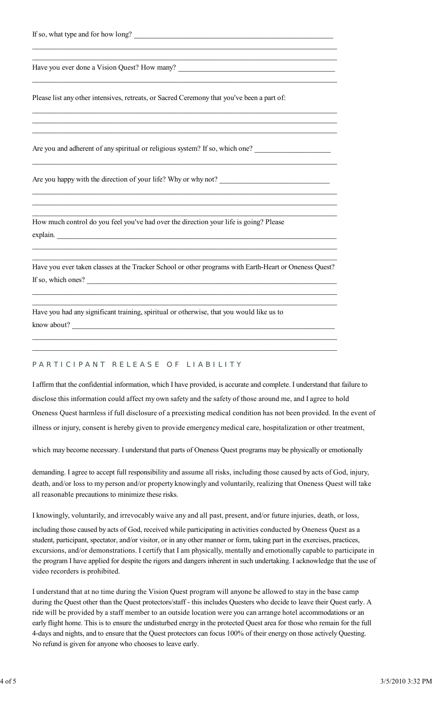| If so, what type and for how long? |  |
|------------------------------------|--|
|------------------------------------|--|

Have you ever done a Vision Quest? How many?

Please list any other intensives, retreats, or Sacred Ceremony that you've been a part of:

\_\_\_\_\_\_\_\_\_\_\_\_\_\_\_\_\_\_\_\_\_\_\_\_\_\_\_\_\_\_\_\_\_\_\_\_\_\_\_\_\_\_\_\_\_\_\_\_\_\_\_\_\_\_\_\_\_\_\_\_\_\_\_\_\_\_\_\_\_\_\_\_  $\_$  , and the set of the set of the set of the set of the set of the set of the set of the set of the set of the set of the set of the set of the set of the set of the set of the set of the set of the set of the set of th

\_\_\_\_\_\_\_\_\_\_\_\_\_\_\_\_\_\_\_\_\_\_\_\_\_\_\_\_\_\_\_\_\_\_\_\_\_\_\_\_\_\_\_\_\_\_\_\_\_\_\_\_\_\_\_\_\_\_\_\_\_\_\_\_\_\_\_\_\_\_\_\_

\_\_\_\_\_\_\_\_\_\_\_\_\_\_\_\_\_\_\_\_\_\_\_\_\_\_\_\_\_\_\_\_\_\_\_\_\_\_\_\_\_\_\_\_\_\_\_\_\_\_\_\_\_\_\_\_\_\_\_\_\_\_\_\_\_\_\_\_\_\_\_\_  $\_$  , and the set of the set of the set of the set of the set of the set of the set of the set of the set of the set of the set of the set of the set of the set of the set of the set of the set of the set of the set of th  $\_$  , and the set of the set of the set of the set of the set of the set of the set of the set of the set of the set of the set of the set of the set of the set of the set of the set of the set of the set of the set of th

\_\_\_\_\_\_\_\_\_\_\_\_\_\_\_\_\_\_\_\_\_\_\_\_\_\_\_\_\_\_\_\_\_\_\_\_\_\_\_\_\_\_\_\_\_\_\_\_\_\_\_\_\_\_\_\_\_\_\_\_\_\_\_\_\_\_\_\_\_\_\_\_

 $\_$  , and the set of the set of the set of the set of the set of the set of the set of the set of the set of the set of the set of the set of the set of the set of the set of the set of the set of the set of the set of th  $\_$  , and the set of the set of the set of the set of the set of the set of the set of the set of the set of the set of the set of the set of the set of the set of the set of the set of the set of the set of the set of th  $\_$  , and the set of the set of the set of the set of the set of the set of the set of the set of the set of the set of the set of the set of the set of the set of the set of the set of the set of the set of the set of th

Are you and adherent of any spiritual or religious system? If so, which one?

Are you happy with the direction of your life? Why or why not?

How much control do you feel you've had over the direction your life is going? Please explain. \_\_\_\_\_\_\_\_\_\_\_\_\_\_\_\_\_\_\_\_\_\_\_\_\_\_\_\_\_\_\_\_\_\_\_\_\_\_\_\_\_\_\_\_\_\_\_\_\_\_\_\_\_\_\_\_\_\_\_\_\_\_\_\_\_\_

Have you ever taken classes at the Tracker School or other programs with Earth-Heart or Oneness Quest? If so, which ones?

 $\_$  , and the set of the set of the set of the set of the set of the set of the set of the set of the set of the set of the set of the set of the set of the set of the set of the set of the set of the set of the set of th  $\_$  , and the set of the set of the set of the set of the set of the set of the set of the set of the set of the set of the set of the set of the set of the set of the set of the set of the set of the set of the set of th

 $\_$  , and the set of the set of the set of the set of the set of the set of the set of the set of the set of the set of the set of the set of the set of the set of the set of the set of the set of the set of the set of th  $\_$  , and the set of the set of the set of the set of the set of the set of the set of the set of the set of the set of the set of the set of the set of the set of the set of the set of the set of the set of the set of th

 $\_$  , and the set of the set of the set of the set of the set of the set of the set of the set of the set of the set of the set of the set of the set of the set of the set of the set of the set of the set of the set of th  $\_$  , and the set of the set of the set of the set of the set of the set of the set of the set of the set of the set of the set of the set of the set of the set of the set of the set of the set of the set of the set of th

Have you had any significant training, spiritual or otherwise, that you would like us to know about?

# PARTICIPANT RELEASE OF LIABILITY

I affirm that the confidential information, which I have provided, is accurate and complete. I understand that failure to disclose this information could affect my own safety and the safety of those around me, and I agree to hold Oneness Quest harmless if full disclosure of a preexisting medical condition has not been provided. In the event of illness or injury, consent is hereby given to provide emergency medical care, hospitalization or other treatment,

which may become necessary. I understand that parts of Oneness Quest programs may be physically or emotionally

demanding. I agree to accept full responsibility and assume all risks, including those caused by acts of God, injury, death, and/or loss to my person and/or property knowingly and voluntarily, realizing that Oneness Quest will take all reasonable precautions to minimize these risks.

I knowingly, voluntarily, and irrevocably waive any and all past, present, and/or future injuries, death, or loss,

including those caused by acts of God, received while participating in activities conducted by Oneness Quest as a student, participant, spectator, and/or visitor, or in any other manner or form, taking part in the exercises, practices, excursions, and/or demonstrations. I certify that I am physically, mentally and emotionally capable to participate in the program I have applied for despite the rigors and dangers inherent in such undertaking. I acknowledge that the use of video recorders is prohibited.

I understand that at no time during the Vision Quest program will anyone be allowed to stay in the base camp during the Quest other than the Quest protectors/staff - this includes Questers who decide to leave their Quest early. A ride will be provided by a staff member to an outside location were you can arrange hotel accommodations or an early flight home. This is to ensure the undisturbed energy in the protected Quest area for those who remain for the full 4-days and nights, and to ensure that the Quest protectors can focus 100% of their energy on those actively Questing. No refund is given for anyone who chooses to leave early.